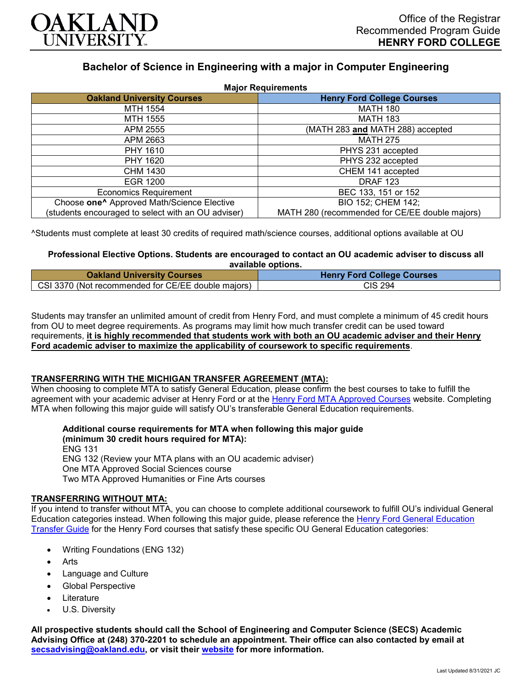

# **Bachelor of Science in Engineering with a major in Computer Engineering**

| <b>Major Requirements</b>                              |                                                |
|--------------------------------------------------------|------------------------------------------------|
| <b>Oakland University Courses</b>                      | <b>Henry Ford College Courses</b>              |
| MTH 1554                                               | <b>MATH 180</b>                                |
| MTH 1555                                               | <b>MATH 183</b>                                |
| APM 2555                                               | (MATH 283 and MATH 288) accepted               |
| APM 2663                                               | <b>MATH 275</b>                                |
| PHY 1610                                               | PHYS 231 accepted                              |
| PHY 1620                                               | PHYS 232 accepted                              |
| CHM 1430                                               | CHEM 141 accepted                              |
| EGR 1200                                               | <b>DRAF 123</b>                                |
| <b>Economics Requirement</b>                           | BEC 133, 151 or 152                            |
| Choose one <sup>^</sup> Approved Math/Science Elective | BIO 152; CHEM 142;                             |
| (students encouraged to select with an OU adviser)     | MATH 280 (recommended for CE/EE double majors) |

^Students must complete at least 30 credits of required math/science courses, additional options available at OU

## **Professional Elective Options. Students are encouraged to contact an OU academic adviser to discuss all available options.**

| <b>Oakland University Courses</b>                  | <b>Henry Ford College Courses</b> |
|----------------------------------------------------|-----------------------------------|
| CSI 3370 (Not recommended for CE/EE double majors) | <b>CIS 294</b>                    |

Students may transfer an unlimited amount of credit from Henry Ford, and must complete a minimum of 45 credit hours from OU to meet degree requirements. As programs may limit how much transfer credit can be used toward requirements, **it is highly recommended that students work with both an OU academic adviser and their Henry Ford academic adviser to maximize the applicability of coursework to specific requirements**.

#### **TRANSFERRING WITH THE MICHIGAN TRANSFER AGREEMENT (MTA):**

When choosing to complete MTA to satisfy General Education, please confirm the best courses to take to fulfill the agreement with your academic adviser at Henry Ford or at the [Henry Ford MTA Approved Courses](https://www.hfcc.edu/registration-and-records/mta/hfc-agreement) website. Completing MTA when following this major guide will satisfy OU's transferable General Education requirements.

**Additional course requirements for MTA when following this major guide** 

**(minimum 30 credit hours required for MTA):** ENG 131 ENG 132 (Review your MTA plans with an OU academic adviser) One MTA Approved Social Sciences course Two MTA Approved Humanities or Fine Arts courses

#### **TRANSFERRING WITHOUT MTA:**

If you intend to transfer without MTA, you can choose to complete additional coursework to fulfill OU's individual General Education categories instead. When following this major guide, please reference the [Henry Ford General Education](https://www.oakland.edu/Assets/Oakland/program-guides/henry-ford-college/university-general-education-requirements/Henry%20Ford%20Gen%20Ed.pdf)  [Transfer Guide](https://www.oakland.edu/Assets/Oakland/program-guides/henry-ford-college/university-general-education-requirements/Henry%20Ford%20Gen%20Ed.pdf) for the Henry Ford courses that satisfy these specific OU General Education categories:

- Writing Foundations (ENG 132)
- Arts
- Language and Culture
- Global Perspective
- **Literature**
- U.S. Diversity

**All prospective students should call the School of Engineering and Computer Science (SECS) Academic Advising Office at (248) 370-2201 to schedule an appointment. Their office can also contacted by email at [secsadvising@oakland.edu,](mailto:secsadvising@oakland.edu) or visit their [website](https://wwwp.oakland.edu/secs/advising/) for more information.**